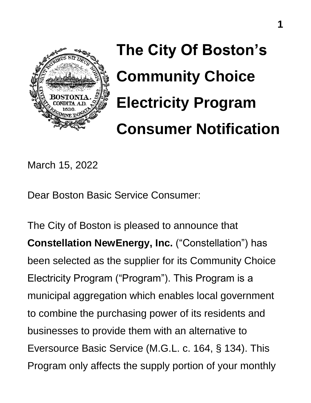

**The City Of Boston's Community Choice Electricity Program Consumer Notification**

March 15, 2022

Dear Boston Basic Service Consumer:

The City of Boston is pleased to announce that **Constellation NewEnergy, Inc.** ("Constellation") has been selected as the supplier for its Community Choice Electricity Program ("Program"). This Program is a municipal aggregation which enables local government to combine the purchasing power of its residents and businesses to provide them with an alternative to Eversource Basic Service (M.G.L. c. 164, § 134). This Program only affects the supply portion of your monthly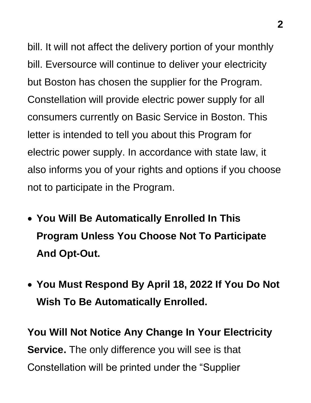bill. It will not affect the delivery portion of your monthly bill. Eversource will continue to deliver your electricity but Boston has chosen the supplier for the Program. Constellation will provide electric power supply for all consumers currently on Basic Service in Boston. This letter is intended to tell you about this Program for electric power supply. In accordance with state law, it also informs you of your rights and options if you choose not to participate in the Program.

- **You Will Be Automatically Enrolled In This Program Unless You Choose Not To Participate And Opt-Out.**
- **You Must Respond By April 18, 2022 If You Do Not Wish To Be Automatically Enrolled.**

**You Will Not Notice Any Change In Your Electricity Service.** The only difference you will see is that Constellation will be printed under the "Supplier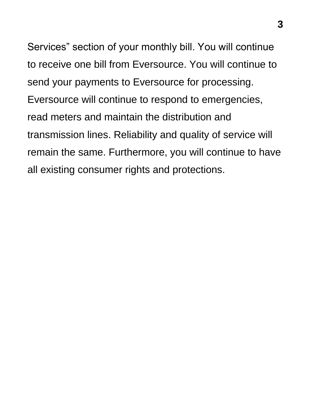Services" section of your monthly bill. You will continue to receive one bill from Eversource. You will continue to send your payments to Eversource for processing. Eversource will continue to respond to emergencies, read meters and maintain the distribution and transmission lines. Reliability and quality of service will remain the same. Furthermore, you will continue to have all existing consumer rights and protections.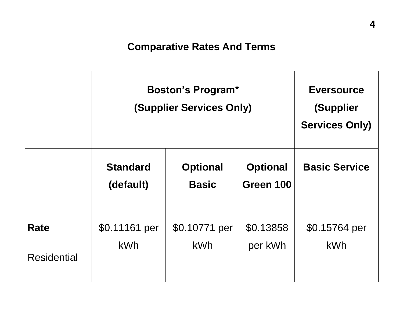### **Comparative Rates And Terms**

|                            | <b>Boston's Program*</b><br><b>(Supplier Services Only)</b> | <b>Eversource</b><br>(Supplier<br><b>Services Only)</b> |                              |                             |
|----------------------------|-------------------------------------------------------------|---------------------------------------------------------|------------------------------|-----------------------------|
|                            | <b>Standard</b><br>(default)                                | <b>Optional</b><br><b>Basic</b>                         | <b>Optional</b><br>Green 100 | <b>Basic Service</b>        |
| Rate<br><b>Residential</b> | \$0.11161 per<br><b>kWh</b>                                 | \$0.10771 per<br><b>kWh</b>                             | \$0.13858<br>per kWh         | \$0.15764 per<br><b>kWh</b> |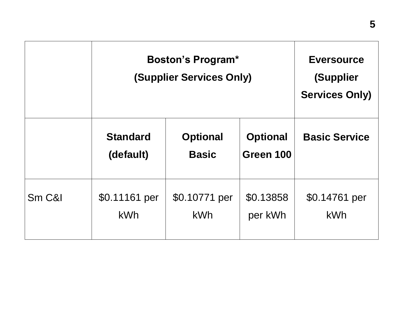|        | <b>Boston's Program*</b><br><b>(Supplier Services Only)</b> | <b>Eversource</b><br>(Supplier<br><b>Services Only)</b> |                              |                             |
|--------|-------------------------------------------------------------|---------------------------------------------------------|------------------------------|-----------------------------|
|        | <b>Standard</b><br>(default)                                | <b>Optional</b><br><b>Basic</b>                         | <b>Optional</b><br>Green 100 | <b>Basic Service</b>        |
| Sm C&I | \$0.11161 per<br><b>kWh</b>                                 | \$0.10771 per<br>kWh                                    | \$0.13858<br>per kWh         | \$0.14761 per<br><b>kWh</b> |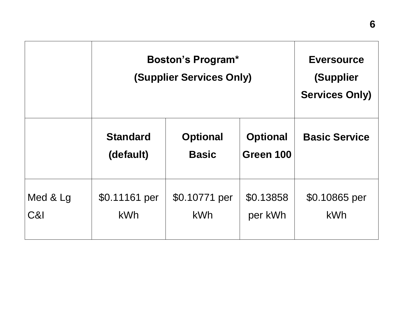|                 | <b>Boston's Program*</b><br><b>(Supplier Services Only)</b> | <b>Eversource</b><br>(Supplier<br><b>Services Only)</b> |                              |                             |
|-----------------|-------------------------------------------------------------|---------------------------------------------------------|------------------------------|-----------------------------|
|                 | <b>Standard</b><br>(default)                                | <b>Optional</b><br><b>Basic</b>                         | <b>Optional</b><br>Green 100 | <b>Basic Service</b>        |
| Med & Lg<br>C&I | \$0.11161 per<br><b>kWh</b>                                 | \$0.10771 per<br><b>kWh</b>                             | \$0.13858<br>per kWh         | \$0.10865 per<br><b>kWh</b> |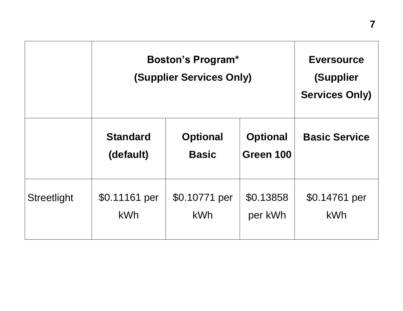|                    | <b>Boston's Program*</b><br><b>(Supplier Services Only)</b> | <b>Eversource</b><br>(Supplier<br><b>Services Only)</b> |                              |                             |
|--------------------|-------------------------------------------------------------|---------------------------------------------------------|------------------------------|-----------------------------|
|                    | <b>Standard</b><br>(default)                                | <b>Optional</b><br><b>Basic</b>                         | <b>Optional</b><br>Green 100 | <b>Basic Service</b>        |
| <b>Streetlight</b> | \$0.11161 per<br><b>kWh</b>                                 | \$0.10771 per<br>kWh                                    | \$0.13858<br>per kWh         | \$0.14761 per<br><b>kWh</b> |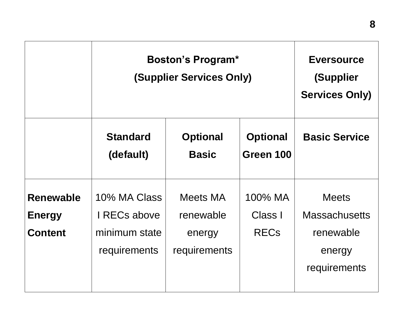|                                                     | <b>Boston's Program*</b><br><b>(Supplier Services Only)</b>          | <b>Eversource</b><br>(Supplier<br><b>Services Only)</b> |                                   |                                                                             |
|-----------------------------------------------------|----------------------------------------------------------------------|---------------------------------------------------------|-----------------------------------|-----------------------------------------------------------------------------|
|                                                     | <b>Standard</b><br>(default)                                         | <b>Optional</b><br><b>Basic</b>                         | <b>Optional</b><br>Green 100      | <b>Basic Service</b>                                                        |
| <b>Renewable</b><br><b>Energy</b><br><b>Content</b> | 10% MA Class<br>I RECs above<br>minimum state<br><b>requirements</b> | <b>Meets MA</b><br>renewable<br>energy<br>requirements  | 100% MA<br>Class I<br><b>RECs</b> | <b>Meets</b><br><b>Massachusetts</b><br>renewable<br>energy<br>requirements |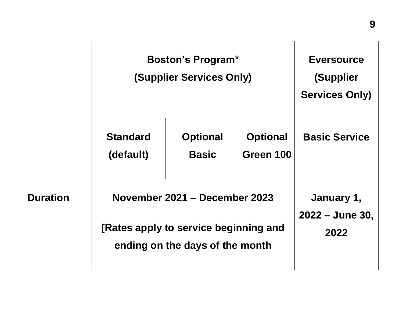|                 | <b>Boston's Program*</b><br><b>(Supplier Services Only)</b>                                               |                                 |                              | <b>Eversource</b><br>(Supplier<br><b>Services Only)</b> |
|-----------------|-----------------------------------------------------------------------------------------------------------|---------------------------------|------------------------------|---------------------------------------------------------|
|                 | <b>Standard</b><br>(default)                                                                              | <b>Optional</b><br><b>Basic</b> | <b>Optional</b><br>Green 100 | <b>Basic Service</b>                                    |
| <b>Duration</b> | November 2021 - December 2023<br>[Rates apply to service beginning and<br>ending on the days of the month |                                 |                              | January 1,<br>$2022 - June 30,$<br>2022                 |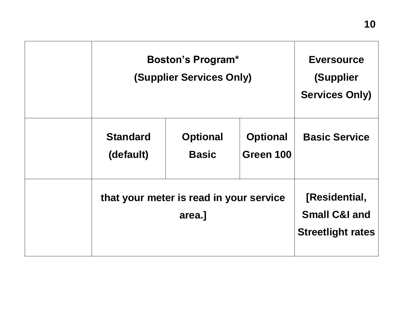| <b>Boston's Program*</b><br><b>(Supplier Services Only)</b> | <b>Eversource</b><br>(Supplier<br><b>Services Only)</b> |                              |                                                                       |
|-------------------------------------------------------------|---------------------------------------------------------|------------------------------|-----------------------------------------------------------------------|
| <b>Standard</b><br>(default)                                | <b>Optional</b><br><b>Basic</b>                         | <b>Optional</b><br>Green 100 | <b>Basic Service</b>                                                  |
| that your meter is read in your service<br>area.]           |                                                         |                              | [Residential,<br><b>Small C&amp;I and</b><br><b>Streetlight rates</b> |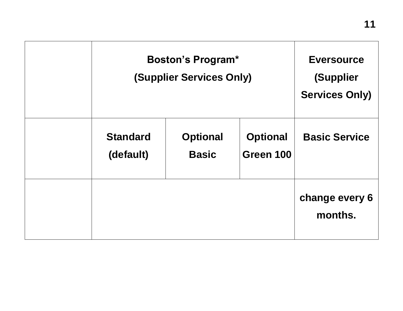| <b>Boston's Program*</b><br><b>(Supplier Services Only)</b> | <b>Eversource</b><br>(Supplier<br><b>Services Only)</b> |                              |                           |
|-------------------------------------------------------------|---------------------------------------------------------|------------------------------|---------------------------|
| <b>Standard</b><br>(default)                                | <b>Optional</b><br><b>Basic</b>                         | <b>Optional</b><br>Green 100 | <b>Basic Service</b>      |
|                                                             |                                                         |                              | change every 6<br>months. |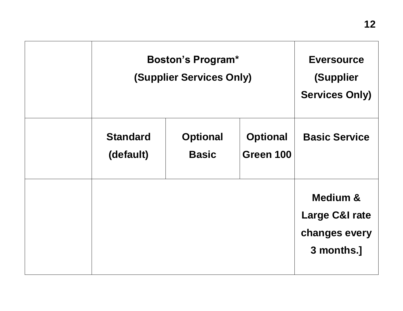| <b>Boston's Program*</b><br><b>(Supplier Services Only)</b> |                                 |                              | <b>Eversource</b><br>(Supplier<br><b>Services Only)</b>                         |
|-------------------------------------------------------------|---------------------------------|------------------------------|---------------------------------------------------------------------------------|
| <b>Standard</b><br>(default)                                | <b>Optional</b><br><b>Basic</b> | <b>Optional</b><br>Green 100 | <b>Basic Service</b>                                                            |
|                                                             |                                 |                              | <b>Medium &amp;</b><br><b>Large C&amp;I rate</b><br>changes every<br>3 months.] |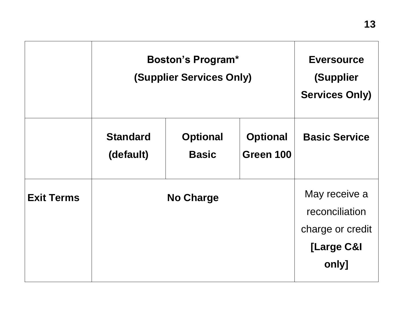|                   | <b>Boston's Program*</b><br><b>(Supplier Services Only)</b> |                                 |                              | <b>Eversource</b><br>(Supplier<br><b>Services Only)</b>                    |
|-------------------|-------------------------------------------------------------|---------------------------------|------------------------------|----------------------------------------------------------------------------|
|                   | <b>Standard</b><br>(default)                                | <b>Optional</b><br><b>Basic</b> | <b>Optional</b><br>Green 100 | <b>Basic Service</b>                                                       |
| <b>Exit Terms</b> | <b>No Charge</b>                                            |                                 |                              | May receive a<br>reconciliation<br>charge or credit<br>[Large C&I<br>only] |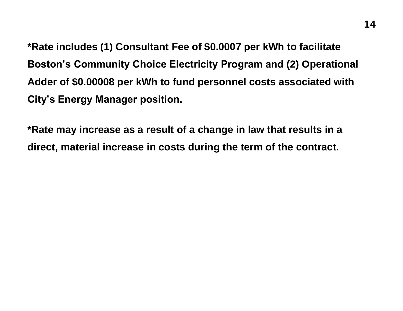**\*Rate includes (1) Consultant Fee of \$0.0007 per kWh to facilitate Boston's Community Choice Electricity Program and (2) Operational Adder of \$0.00008 per kWh to fund personnel costs associated with City's Energy Manager position.**

**\*Rate may increase as a result of a change in law that results in a direct, material increase in costs during the term of the contract.**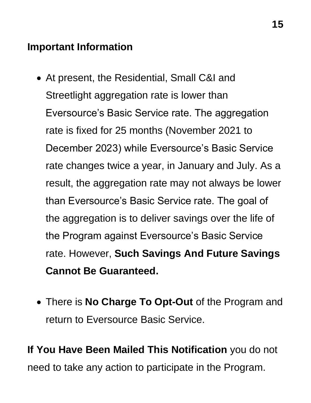#### **Important Information**

- At present, the Residential, Small C&I and Streetlight aggregation rate is lower than Eversource's Basic Service rate. The aggregation rate is fixed for 25 months (November 2021 to December 2023) while Eversource's Basic Service rate changes twice a year, in January and July. As a result, the aggregation rate may not always be lower than Eversource's Basic Service rate. The goal of the aggregation is to deliver savings over the life of the Program against Eversource's Basic Service rate. However, **Such Savings And Future Savings Cannot Be Guaranteed.**
- There is **No Charge To Opt-Out** of the Program and return to Eversource Basic Service.

**If You Have Been Mailed This Notification** you do not need to take any action to participate in the Program.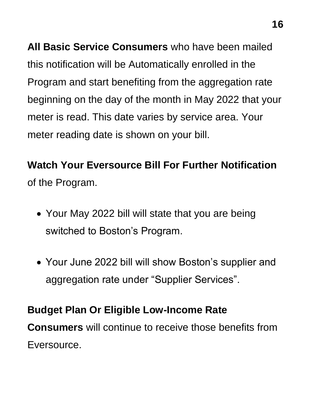**All Basic Service Consumers** who have been mailed this notification will be Automatically enrolled in the Program and start benefiting from the aggregation rate beginning on the day of the month in May 2022 that your meter is read. This date varies by service area. Your meter reading date is shown on your bill.

# **Watch Your Eversource Bill For Further Notification** of the Program.

- Your May 2022 bill will state that you are being switched to Boston's Program.
- Your June 2022 bill will show Boston's supplier and aggregation rate under "Supplier Services".

### **Budget Plan Or Eligible Low-Income Rate**

**Consumers** will continue to receive those benefits from Eversource.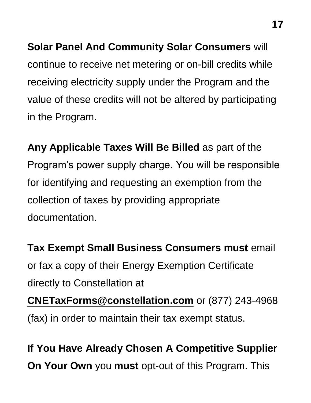**Solar Panel And Community Solar Consumers** will continue to receive net metering or on-bill credits while receiving electricity supply under the Program and the value of these credits will not be altered by participating in the Program.

**Any Applicable Taxes Will Be Billed** as part of the Program's power supply charge. You will be responsible for identifying and requesting an exemption from the collection of taxes by providing appropriate documentation.

**Tax Exempt Small Business Consumers must** email or fax a copy of their Energy Exemption Certificate directly to Constellation at **[CNETaxForms@constellation.com](mailto:CNETaxForms@constellation.com)** or (877) 243-4968 (fax) in order to maintain their tax exempt status.

**If You Have Already Chosen A Competitive Supplier On Your Own** you **must** opt-out of this Program. This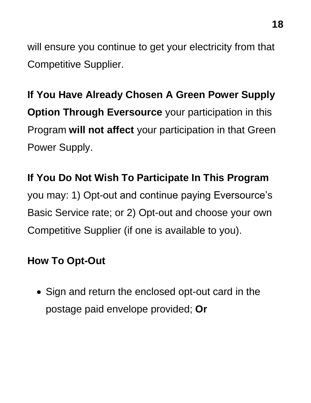will ensure you continue to get your electricity from that Competitive Supplier.

**If You Have Already Chosen A Green Power Supply Option Through Eversource** your participation in this Program **will not affect** your participation in that Green Power Supply.

#### **If You Do Not Wish To Participate In This Program**

you may: 1) Opt-out and continue paying Eversource's Basic Service rate; or 2) Opt-out and choose your own Competitive Supplier (if one is available to you).

#### **How To Opt-Out**

• Sign and return the enclosed opt-out card in the postage paid envelope provided; **Or**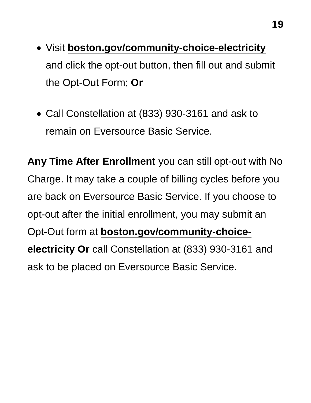- Visit **[boston.gov/community-choice-electricity](https://www.boston.gov/departments/environment/community-choice-electricity)** and click the opt-out button, then fill out and submit the Opt-Out Form; **Or**
- Call Constellation at (833) 930-3161 and ask to remain on Eversource Basic Service.

**Any Time After Enrollment** you can still opt-out with No Charge. It may take a couple of billing cycles before you are back on Eversource Basic Service. If you choose to opt-out after the initial enrollment, you may submit an Opt-Out form at **[boston.gov/community-choice](https://www.boston.gov/departments/environment/community-choice-electricity)[electricity](https://www.boston.gov/departments/environment/community-choice-electricity) Or** call Constellation at (833) 930-3161 and ask to be placed on Eversource Basic Service.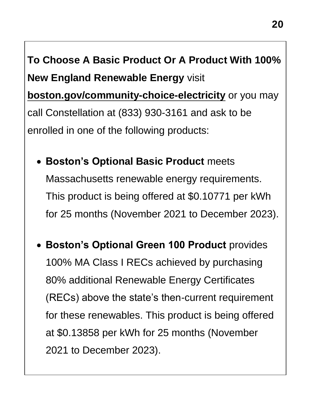**To Choose A Basic Product Or A Product With 100% New England Renewable Energy** visit **[boston.gov/community-choice-electricity](https://www.boston.gov/departments/environment/community-choice-electricity)** or you may call Constellation at (833) 930-3161 and ask to be enrolled in one of the following products:

- **Boston's Optional Basic Product** meets Massachusetts renewable energy requirements. This product is being offered at \$0.10771 per kWh for 25 months (November 2021 to December 2023).
- **Boston's Optional Green 100 Product** provides 100% MA Class I RECs achieved by purchasing 80% additional Renewable Energy Certificates (RECs) above the state's then-current requirement for these renewables. This product is being offered at \$0.13858 per kWh for 25 months (November 2021 to December 2023).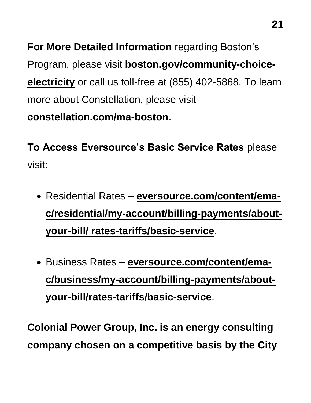**For More Detailed Information** regarding Boston's Program, please visit **[boston.gov/community-choice](https://www.boston.gov/departments/environment/community-choice-electricity)[electricity](https://www.boston.gov/departments/environment/community-choice-electricity)** or call us toll-free at (855) 402-5868. To learn more about Constellation, please visit **[constellation.com/ma-boston](https://www.constellation.com/solutions/for-government/governmental-aggregation/massachusetts-aggregation-programs/Boston.html)**.

**To Access Eversource's Basic Service Rates** please visit:

- Residential Rates **[eversource.com/content/ema](https://www.eversource.com/content/ema-c/residential/my-account/billing-payments/about-your-bill/%20rates-tariffs/basic-service)[c/residential/my-account/billing-payments/about](https://www.eversource.com/content/ema-c/residential/my-account/billing-payments/about-your-bill/%20rates-tariffs/basic-service)[your-bill/ rates-tariffs/basic-service](https://www.eversource.com/content/ema-c/residential/my-account/billing-payments/about-your-bill/%20rates-tariffs/basic-service)**.
- Business Rates **[eversource.com/content/ema](https://www.eversource.com/content/ema-c/residential/my-account/billing-payments/about-your-bill/%20rates-tariffs/basic-service)[c/business/my-account/billing-payments/about](https://www.eversource.com/content/ema-c/residential/my-account/billing-payments/about-your-bill/%20rates-tariffs/basic-service)[your-bill/rates-tariffs/basic-service](https://www.eversource.com/content/ema-c/residential/my-account/billing-payments/about-your-bill/%20rates-tariffs/basic-service)**.

**Colonial Power Group, Inc. is an energy consulting company chosen on a competitive basis by the City**